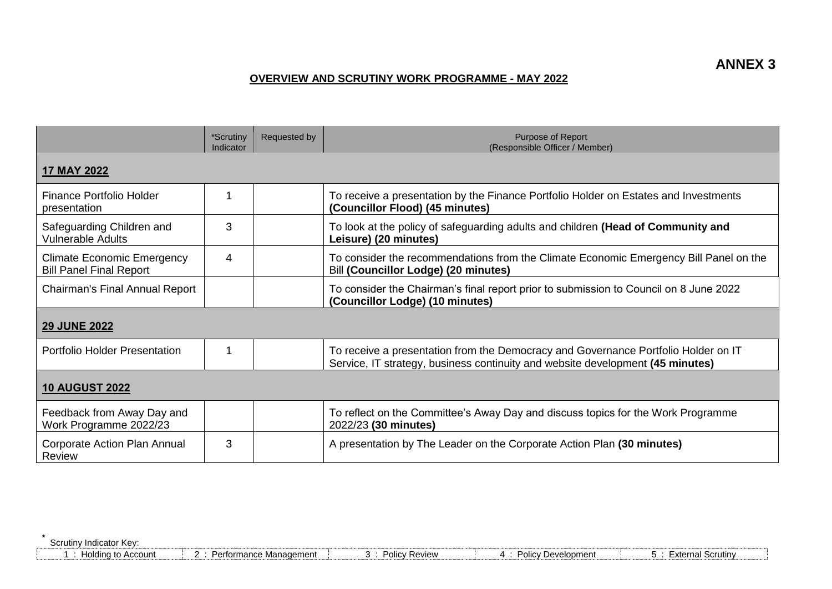## **OVERVIEW AND SCRUTINY WORK PROGRAMME - MAY 2022**

|                                                                     | *Scrutiny<br>Indicator | <b>Requested by</b> | Purpose of Report<br>(Responsible Officer / Member)                                                                                                                  |  |
|---------------------------------------------------------------------|------------------------|---------------------|----------------------------------------------------------------------------------------------------------------------------------------------------------------------|--|
| 17 MAY 2022                                                         |                        |                     |                                                                                                                                                                      |  |
| <b>Finance Portfolio Holder</b><br>presentation                     | 1                      |                     | To receive a presentation by the Finance Portfolio Holder on Estates and Investments<br>(Councillor Flood) (45 minutes)                                              |  |
| Safeguarding Children and<br><b>Vulnerable Adults</b>               | 3                      |                     | To look at the policy of safeguarding adults and children (Head of Community and<br>Leisure) (20 minutes)                                                            |  |
| <b>Climate Economic Emergency</b><br><b>Bill Panel Final Report</b> | 4                      |                     | To consider the recommendations from the Climate Economic Emergency Bill Panel on the<br>Bill (Councillor Lodge) (20 minutes)                                        |  |
| <b>Chairman's Final Annual Report</b>                               |                        |                     | To consider the Chairman's final report prior to submission to Council on 8 June 2022<br>(Councillor Lodge) (10 minutes)                                             |  |
| <b>29 JUNE 2022</b>                                                 |                        |                     |                                                                                                                                                                      |  |
| <b>Portfolio Holder Presentation</b>                                |                        |                     | To receive a presentation from the Democracy and Governance Portfolio Holder on IT<br>Service, IT strategy, business continuity and website development (45 minutes) |  |
| <b>10 AUGUST 2022</b>                                               |                        |                     |                                                                                                                                                                      |  |
| Feedback from Away Day and<br>Work Programme 2022/23                |                        |                     | To reflect on the Committee's Away Day and discuss topics for the Work Programme<br>2022/23 (30 minutes)                                                             |  |
| Corporate Action Plan Annual<br>Review                              | 3                      |                     | A presentation by The Leader on the Corporate Action Plan (30 minutes)                                                                                               |  |

**\*** Scrutiny Indicator Key: 

| Holding to Account | $\sim$ | Performance Management |  | Policy Review |  | 301001<br>ΌΙΙΟΥ | Development |  | Scrutiny<br>-xterna |  |
|--------------------|--------|------------------------|--|---------------|--|-----------------|-------------|--|---------------------|--|
|--------------------|--------|------------------------|--|---------------|--|-----------------|-------------|--|---------------------|--|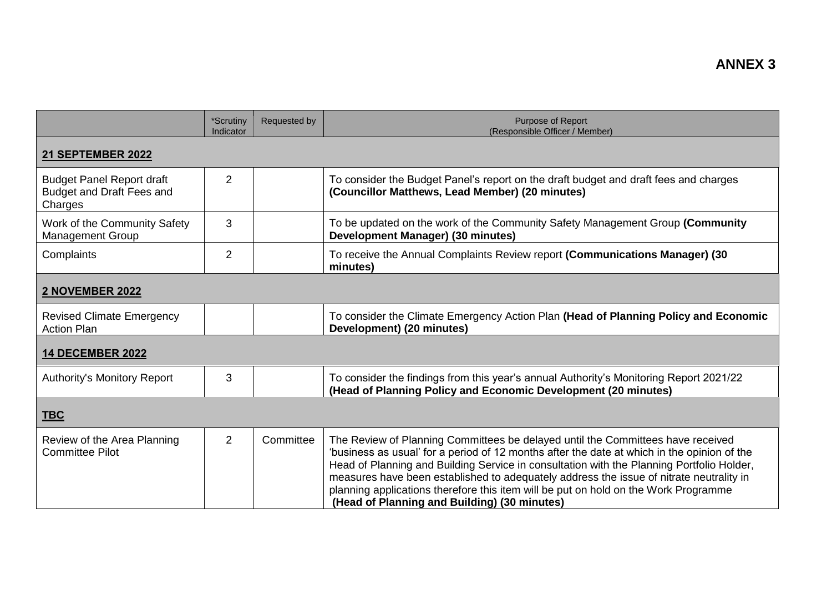|                                                                          | *Scrutiny<br>Indicator | Requested by | Purpose of Report<br>(Responsible Officer / Member)                                                                                                                                                                                                                                                                                                                                                                                                                                                           |  |
|--------------------------------------------------------------------------|------------------------|--------------|---------------------------------------------------------------------------------------------------------------------------------------------------------------------------------------------------------------------------------------------------------------------------------------------------------------------------------------------------------------------------------------------------------------------------------------------------------------------------------------------------------------|--|
| 21 SEPTEMBER 2022                                                        |                        |              |                                                                                                                                                                                                                                                                                                                                                                                                                                                                                                               |  |
| <b>Budget Panel Report draft</b><br>Budget and Draft Fees and<br>Charges | $\overline{2}$         |              | To consider the Budget Panel's report on the draft budget and draft fees and charges<br>(Councillor Matthews, Lead Member) (20 minutes)                                                                                                                                                                                                                                                                                                                                                                       |  |
| Work of the Community Safety<br><b>Management Group</b>                  | 3                      |              | To be updated on the work of the Community Safety Management Group (Community<br>Development Manager) (30 minutes)                                                                                                                                                                                                                                                                                                                                                                                            |  |
| Complaints                                                               | $\overline{2}$         |              | To receive the Annual Complaints Review report (Communications Manager) (30<br>minutes)                                                                                                                                                                                                                                                                                                                                                                                                                       |  |
| <b>2 NOVEMBER 2022</b>                                                   |                        |              |                                                                                                                                                                                                                                                                                                                                                                                                                                                                                                               |  |
| <b>Revised Climate Emergency</b><br><b>Action Plan</b>                   |                        |              | To consider the Climate Emergency Action Plan (Head of Planning Policy and Economic<br>Development) (20 minutes)                                                                                                                                                                                                                                                                                                                                                                                              |  |
| <b>14 DECEMBER 2022</b>                                                  |                        |              |                                                                                                                                                                                                                                                                                                                                                                                                                                                                                                               |  |
| <b>Authority's Monitory Report</b>                                       | 3                      |              | To consider the findings from this year's annual Authority's Monitoring Report 2021/22<br>(Head of Planning Policy and Economic Development (20 minutes)                                                                                                                                                                                                                                                                                                                                                      |  |
| <b>TBC</b>                                                               |                        |              |                                                                                                                                                                                                                                                                                                                                                                                                                                                                                                               |  |
| Review of the Area Planning<br><b>Committee Pilot</b>                    | $\overline{2}$         | Committee    | The Review of Planning Committees be delayed until the Committees have received<br>'business as usual' for a period of 12 months after the date at which in the opinion of the<br>Head of Planning and Building Service in consultation with the Planning Portfolio Holder,<br>measures have been established to adequately address the issue of nitrate neutrality in<br>planning applications therefore this item will be put on hold on the Work Programme<br>(Head of Planning and Building) (30 minutes) |  |